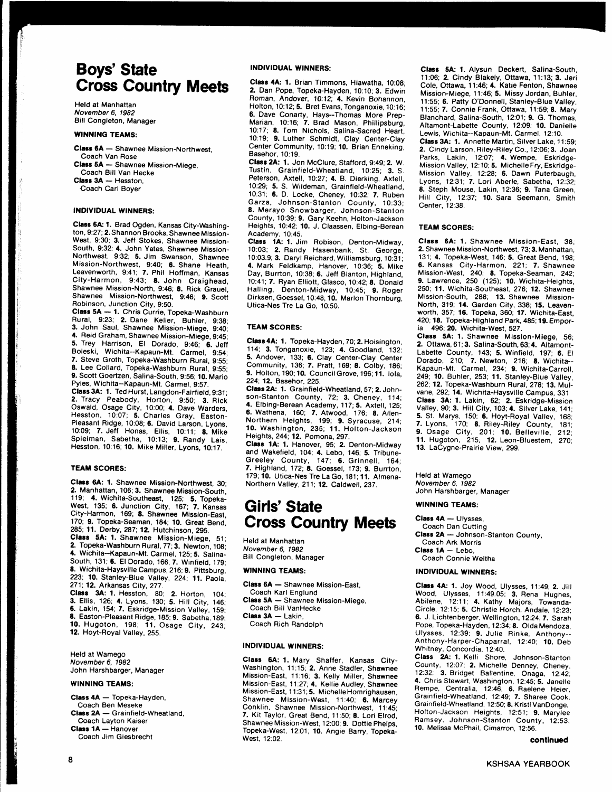# **Boys' State** Cross Country Meets

Held at Manhattan November 6. 1982 Bill Congleton, Manager

## WINNING TEAMS:

Class 6A - Shawnee Mission-Northwest, Coach Van Rose

Class 5A - Shawnee Mission-Miege, Coach Bill Van Hecke

Class 3A - Hesston,

Coach Carl Boyer

### INDIVIDUAL WINNERS:

Class 6A: 1. Brad Ogden, Kansas City-Washington, 9:27; 2. Shannon Brooks, Shawnee Mission-West, 9:30; 3. Jeff Stokes, Shawnee Mission-South, 9:32; 4. John Yates, Shawnee Mission-Northwest, 9:32; 5. Jim Swanson, Shawnee Mission-Northwest, 9:40; 6. Shane Heath, Leavenworth, 9:41; 7. Phil Hoffman, Kansas City-Harmon, 9:43; 8. John Craighead, Shawnee Mission-North, 9:46; 8. Rick Grauel, Shawnee Mission-Northwest, 9:46; g. Scott Robinson, Junction City, 9:50.

Class 5A - 1. Chris Currie, Topeka-Washburn Rural, 9:23; 2. Dane Keller, Buhler, g:3g: 3. John Saul, Shawnee Mission-Miege, g:40; 4. Reid Graham, Shawnee Mission-Miege, 9:45; 5. Trey Harrison, Et Dorado, 9:46; 6. Jeff Boleski, Wichita--Kapaun-Mt. Carmet, 9:54; 7. Steve Groth, Topeka-Washburn Rural, 9:55: 8. Lee Collard, Topeka-Washburn Rural, 9:55; 9. Scott Goertzen, Satina-South, 9:56; 10. Mario Pyles, Wichita--Kapaun-Mt. Carmel, g:57.

Class 3A: 1. Ted Hurst, Langdon-Fairfield, 9:31; 2. Fracy Peabody, Horton, 9:50; 3. Rick Oswald, Osage City, 10:00; 4. Dave Warders. Hesston, 10:07; 5. Charles Gray, Easton-Pleasant Ridge, 10:08; 6. David Larson, Lyons, 10:09; 7. Jeff Honas, Ellis, 10:11; 8. Mike Spielman, Sabetha, 10:13; 9. Randy Lais, Hesston, 10:16; 10. Mike Miller, Lyons, 10:17.

### **TEAM SCORES:**

Class 6A: 1. Shawnee Mission-Northwest, 30; 2. Manhattan, 106; 3. Shawnee Mission-South. 119; 4. Wichita-Southeast, 125; 5. Topeka-<br>West, 135; 6. Junction City, 167; 7. Kansas City-Harmon, 169; 8. Shawnee Mission-East, 170; 9. Topeka-Seaman, 184;10. Great Bend, 285; 11. Derby, 287; 12. Hutchinson, 295.<br>**Class 5A: 1.** Shawnee Mission-Miege, 51; 2. Topeka-Washburn Rural,77;3. Newton, 10g; 4. Wichita--Kapaun-Mt. Carmet, 125; 5. Satina-South, 131; 6. El Dorado, 166; 7. Winfield, 179; 8. Wichita-Haysville Campus, 216; 9. Pittsburg, 223; 10. Stanley-Blue Valley, 224; 11. Paola, 271;12. Arkansas City, 277. **Ciass 3A: 1.** Hesston, 80; **2.** Horton, 104;<br>**3.** Ellis, 126; **4.** Lyons, 130; **5.** Hill City, 146;

6. Lakin, 154;7. Eskridge-Mission Vailey, 159; 8. Easton-Pleasant Ridge, 185; 9. Sabetha, 189; 10. Hugoton, 198; 11. Osage City, 249: 12. Hoyt-Royal Valley, 255.

Held at Wamego November 6, 1982 John Harshbarger, Manager

### WINNING TEAMS:

Class 4A - Topeka-Hayden, Coach Ben Meseke Class 2A - Grainfield-Wheatland, Coach Layton Kaiser Class 1A - Hanover Coach Jim Giesbrecht

### INDIVIDUAL WINNERS:

Class 4A: 1. Brian Timmons, Hiawatha, 10:08; 2. Dan Pope, Topeka-Hayden, 10:10; 3. Edwin Roman, Andover, 10:12; 4. Kevin Bohannon, Holton, 10:12; 5. Bret Evans, Tonganoxie, 10:16; 6. Dave Conarty, Hays--Thomas More Prep-Marian, 10:16; 7. Brad Mason, Philtipsburg, 10:17: 8. Tom Nichols, Salina-Sacred Heart, 10:19; 9. Luther Schmidt, Clay Center-Clay Center Community, 10:19; 10. Brian Enneking, Basehor, 10:19.

Class 2A: 1. Jon McClure, Stafford, 9:49; 2. W. Tustin, Grainfield-Wheatland, 10:25; 3. S. Peterson, Axtell, 1O:27: 4. B. Dierking, Axteil, 10:29; 5. S. Wildeman, Grainfield-Wheatland, 10:31; 6. D. Locke, Cheney, 1O:32; 7. Ruben Garza, Johnson-Stanton County, 10:33; 8. Merayo Snowbarger, Johnson-stanton County, 10:39; 9. Gary Keehn, Hotton-Jackson Heights, 10:42; 10. J. Claassen, Etbing-Berean

Academy, 10:45. Class 1A: 1. Jim Robison, Denton-Midway, 1o:03; 2. Randy Hasenbank, St. George, 10:03.9; 3. Daryl Reichard, Witliamsburg, 10:31; 4. Mark Feldkamp, Hanover, 10:36; 5. Mike Day, Burrton, 10:38; 6. Jeff Blanton, Highland, 10:41; 7. Ryan Elliott, Glasco, 10:42:8. Donatd Halling, Denton-Midway, 10:45; 9. Roger Dirksen, Goessel, 10:48; 10. Marlon Thornburg, Utica-Nes Tre La Go, 10:50.

#### **TEAM SCORES:**

Class 4A: 1. Topeka-Hayden, 70; 2. Hoisington, 114; 3. Tonganoxie, 123: 4. Goodland, 132: 5. Andover, 133; 6. Clay Center-Clay Center Community, 136; 7. Pratt, 169; 8. Colby, 186; 9. Holton, 190; 10. CouncilGrove, 196; 11. tola, 224;12. Basehor, 225.

Class 2A: 1. Grainfield-Wheatland, 57: 2. Johnson-Stanton County, 72: 3. Cheney, '114: 4. Elbing-Berean Academy, 117;5. Axtell, '125; 6. Wathena, 160; 7. Atwood, 176; 8. Ailen-Northern Heights, 199; 9. Syracuse, 214 10. Washington, 235; 11. Hotton-Jackson Heights, 244;12. Pomona, 297.

Class 1A: 1. Hanover, 95; 2. Denton-Midway<br>and Wakefield, 104; 4. Lebo, 146; 5. Tribune-Greeley County, 147; 6. Grinnell, 164;<br>7. Highland, 172; 8. Goessel, 173; 9. Burrton, 179; 10. Utica-Nes Tre La Go, 181; 11. Almena-Northern Valley, 211; 12. Caldwell, 237.

# Girls' State Gross Country Meets

Held at Manhattan November 6, 1982 Bill Congleton, Manager

## WINNING TEAMS:

Class 6A - Shawnee Mission-East, Coach Karl Englund Class 5A - Shawnee Mission-Miege, Coach Bill VanHecke  $Class 3A - Lakin$ . Coach Rich Randotph

## INDIVIDUAL WINNERS:

Class 6A: 1. Mary Shaffer, Kansas City-Washington, 11:15; 2. Anne Stadler, Shawnee Mission-East, 11:16; 3. Kelty Miiler, Shawnee Mission-East, 11:27; 4. Kellie Audley, Shawnee Mission-East, 1 1:31; 5. MichelleHomrighausen, Shawnee Mission-West, 11:40; 6. Marcey Conklin, Shawnee Mission-Northwest, 11:45: 7. Kit Taylor, Great Bend, 11;50; 8. Lori Elrod, Shawnee Mission-West, 12:00; 9. Dottie Phelps, Topeka-West, 12:01; 10. Angie Barry, Topeka-West. 12:02.

Class 5A: 1. Alysun Deckert, Salina-South, 11:06; 2. Cindy Blakely, Ottawa, 11:13; 3. Jeri Cole, Ottawa, 11:46; 4. Katie Fenton, Shawnee Mission-Miege, 11:46; 5. Missy Jordan, Buhler, 11:55; 6. Patty O'Donnell, Stanley-Blue Valley, 11:55; 7. Connie Frank, Ottawa, 11:59; 8. Mary Blanchard, Salina-South, 12:01; 9. G. Thomas, Altamont-Labette County, 12:Og: 10. Danielle Lewis, Wichita--Kapaun-Mt. Carmel, 12:'10. Class 3A: 1. Annette Martin, Silver Lake, 11:59; 2. Cindy Larson, Riley-Riley Co., 12:06;3. Joan Parks, Lakin, 12:07; 4. Wempe, Eskridge-Mission Valley, 12:10; 5. Michelle Fry, Eskridge-

Mission Valley, 12:28; 6. Dawn Puterbaugh, Lyons, 12:31; 7. Lori Aberle, Sabetha, 12:32; 8. Steph Mouse, Lakin, 12:36; 9. Tana Green, Hifl City, 12:37; 10. Sara Seemann, Smith Center, 12:38.

### TEAM SCORES:

Class 6A: 1. Shawnee Mission-East, 38; 2. Shawnee Mission-Northwest, 73; 3. Manhattan, 131; 4. Topeka-West, 146; 5. Great Bend, 198; 6. Kansas City-Harmon, 221; 7. Shawnee Mission-West, 240; 8. Topeka-Seaman, 242: 9. Lawrence, 250 (125); 10. Wichita-Heights, 250; 11. Wichita-Southeast, 276: 12. Shawnee Mission-South, 288; 13. Shawnee Mission-North, 319; 14. Garden City, 338; 15. Leaven-worth, 357; 16. Topeka, 360; 17. Wichita-East. 420;18. Topeka-Highland Park, 485; 19. Emporia 496; 20. Wichita-West, 527.

Class 5A: 1. Shawnee Mission-Miege, 56; 2. Ottawa, 61; 3. Salina-South, 63; 4. Altamont-Labette County, 143; 5. Winfield, 197; 6. Et Dorado, 210; 7. Newton, 216: 8. Wichita-- Kapaun-Mt. Carmel, 234; 9. Wichita-Carroll, 249; 10. Buhler, 253; 11. Stanley-Btue Vailey, 262:12. Topeka-Washburn Rural, 278; 13. Mutvane, 292; 14. Wichita-Haysville Campus, 331 Class 3A: 1. Lakin, 62; 2. Eskridge-Mission<br>Valley, 90; 3. Hill City, 103; 4. Silver Lake, 141;<br>5. St. Marys, 150; 6. Hoyt-Royal Valley, 168; 7. Lyons, 170; 8. Riley-Riley County, 181; **9.** Osage City, 201; **10.** Belleville, 212;<br>**11.** Hugoton, 215; **12.** Leon-Bluestem, 270;<br>**13.** LaCygne-Prairie View, 299.

Held at Wamego November 6, 1982 John Harshbarger, Manager

#### WINNING TEAMS:

Class 4A - Ulysses, Coach Dan Cutting Class 2A - Johnson-Stanton County, Coach Ark Morris  $C$ iass  $1A -$  Lebo, Coach Connie Weltha

## INDIVIDUAL WINNEBS:

Class 4A: 1. Joy Wood, Ulysses, 11:49; 2. Jill Wood, Ulysses, 11:49.05; 3. Rena Hughes,<br>Abilene, 12:11; 4. Kathy Majors, Towanda-Circle, 12.15; 5. Christie Horch, Andale, 12:23; 6. J. Lichtenberger, Wellington, 12:24:7. Sarah Pope, Topeka-Hayden, 12:34; 8. Olda Mendoza, Ulysses, 12:39; 9. Julie Rinke, Anthony-- Anthony-Harper-Chaparral, 1Z:4O: 10. Deb Whitney, Concordia, 12:40.

Class 2A: 1. Kelli Shore, Johnson-Stanton County, 12:07: 2. Michelle Denney, Cheney, 12:32: 3. Bridget Ballentine, Onaga, 12:42: 4. Chris Stewart, Washington, 12:45; 5. Janelle Rempe, Centralia, 12:46: 6. Raelene Heier, Grainfiefd-Wheatland, 12:49; 7. Sharee Cook, Grainfield-Wheatland, 12:50; 8. Kristi VanDonge, Hofton-Jackson Heights, 12:51: 9. Marylee Ramsey, Johnson-stanton County, 12:53; 10. Melissa McPhail, Cimarron, 12:56.

#### continued